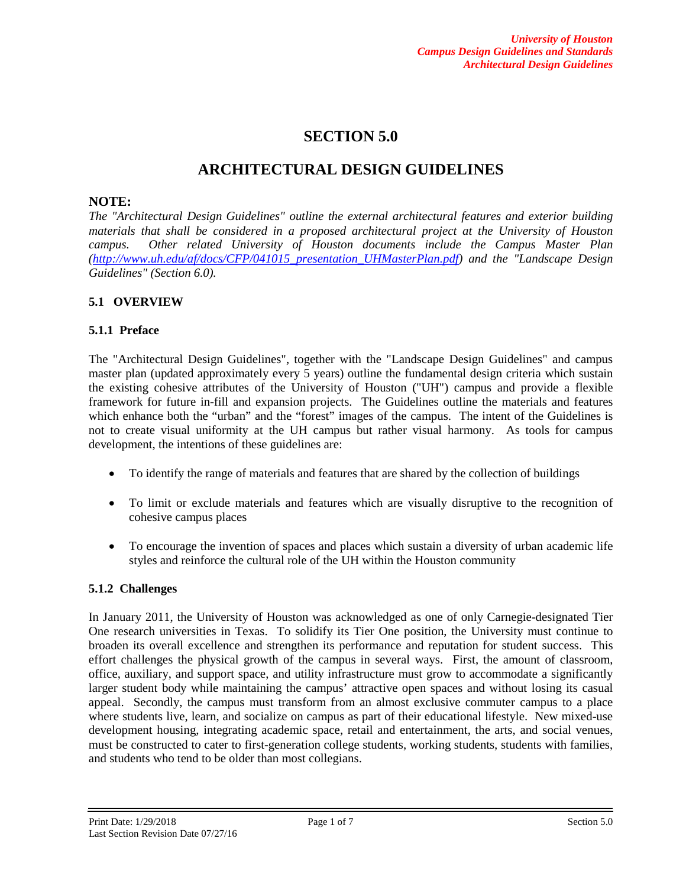# **SECTION 5.0**

# **ARCHITECTURAL DESIGN GUIDELINES**

### **NOTE:**

*The "Architectural Design Guidelines" outline the external architectural features and exterior building materials that shall be considered in a proposed architectural project at the University of Houston campus. Other related University of Houston documents include the Campus Master Plan [\(http://www.uh.edu/af/docs/CFP/041015\\_presentation\\_UHMasterPlan.pdf\)](http://www.uh.edu/af/docs/CFP/041015_presentation_UHMasterPlan.pdf) and the "Landscape Design Guidelines" (Section 6.0).*

## **5.1 OVERVIEW**

### **5.1.1 Preface**

The "Architectural Design Guidelines", together with the "Landscape Design Guidelines" and campus master plan (updated approximately every 5 years) outline the fundamental design criteria which sustain the existing cohesive attributes of the University of Houston ("UH") campus and provide a flexible framework for future in-fill and expansion projects. The Guidelines outline the materials and features which enhance both the "urban" and the "forest" images of the campus. The intent of the Guidelines is not to create visual uniformity at the UH campus but rather visual harmony. As tools for campus development, the intentions of these guidelines are:

- To identify the range of materials and features that are shared by the collection of buildings
- To limit or exclude materials and features which are visually disruptive to the recognition of cohesive campus places
- To encourage the invention of spaces and places which sustain a diversity of urban academic life styles and reinforce the cultural role of the UH within the Houston community

#### **5.1.2 Challenges**

In January 2011, the University of Houston was acknowledged as one of only Carnegie-designated Tier One research universities in Texas. To solidify its Tier One position, the University must continue to broaden its overall excellence and strengthen its performance and reputation for student success. This effort challenges the physical growth of the campus in several ways. First, the amount of classroom, office, auxiliary, and support space, and utility infrastructure must grow to accommodate a significantly larger student body while maintaining the campus' attractive open spaces and without losing its casual appeal. Secondly, the campus must transform from an almost exclusive commuter campus to a place where students live, learn, and socialize on campus as part of their educational lifestyle. New mixed-use development housing, integrating academic space, retail and entertainment, the arts, and social venues, must be constructed to cater to first-generation college students, working students, students with families, and students who tend to be older than most collegians.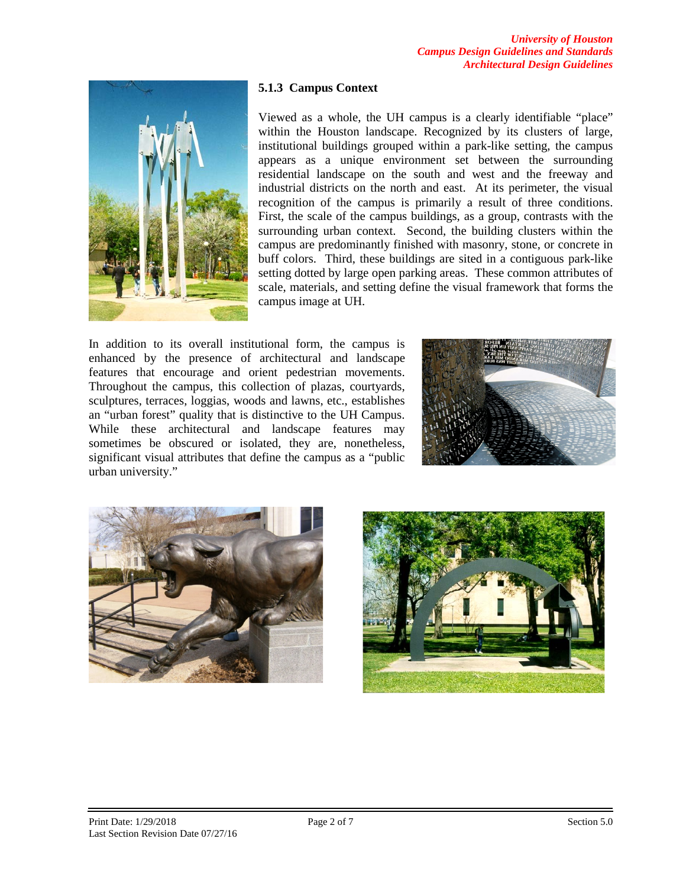

#### **5.1.3 Campus Context**

Viewed as a whole, the UH campus is a clearly identifiable "place" within the Houston landscape. Recognized by its clusters of large, institutional buildings grouped within a park-like setting, the campus appears as a unique environment set between the surrounding residential landscape on the south and west and the freeway and industrial districts on the north and east. At its perimeter, the visual recognition of the campus is primarily a result of three conditions. First, the scale of the campus buildings, as a group, contrasts with the surrounding urban context. Second, the building clusters within the campus are predominantly finished with masonry, stone, or concrete in buff colors. Third, these buildings are sited in a contiguous park-like setting dotted by large open parking areas. These common attributes of scale, materials, and setting define the visual framework that forms the campus image at UH.

In addition to its overall institutional form, the campus is enhanced by the presence of architectural and landscape features that encourage and orient pedestrian movements. Throughout the campus, this collection of plazas, courtyards, sculptures, terraces, loggias, woods and lawns, etc., establishes an "urban forest" quality that is distinctive to the UH Campus. While these architectural and landscape features may sometimes be obscured or isolated, they are, nonetheless, significant visual attributes that define the campus as a "public urban university."





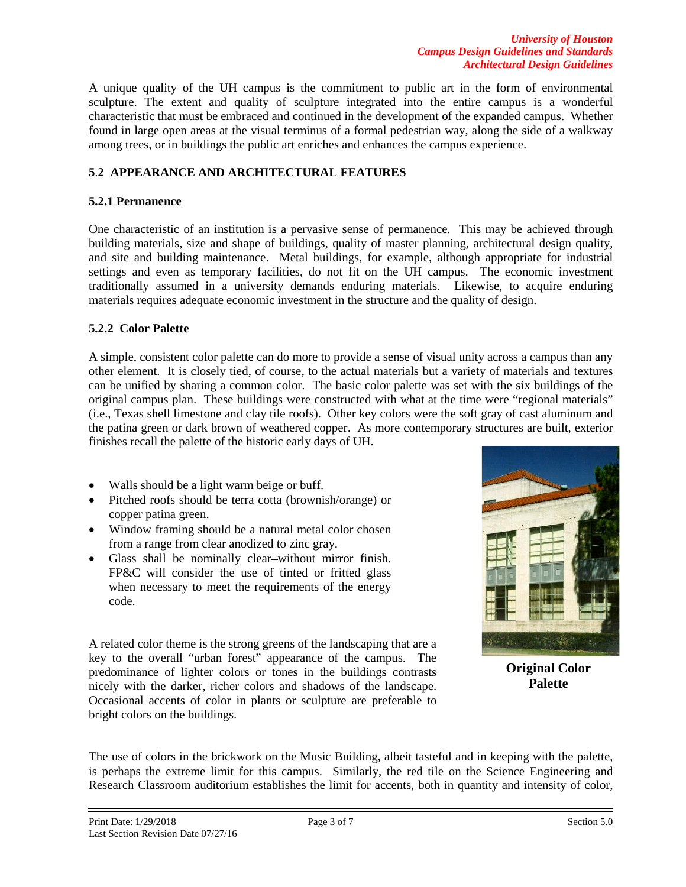A unique quality of the UH campus is the commitment to public art in the form of environmental sculpture. The extent and quality of sculpture integrated into the entire campus is a wonderful characteristic that must be embraced and continued in the development of the expanded campus. Whether found in large open areas at the visual terminus of a formal pedestrian way, along the side of a walkway among trees, or in buildings the public art enriches and enhances the campus experience.

# **5**.**2 APPEARANCE AND ARCHITECTURAL FEATURES**

### **5.2.1 Permanence**

One characteristic of an institution is a pervasive sense of permanence. This may be achieved through building materials, size and shape of buildings, quality of master planning, architectural design quality, and site and building maintenance. Metal buildings, for example, although appropriate for industrial settings and even as temporary facilities, do not fit on the UH campus. The economic investment traditionally assumed in a university demands enduring materials. Likewise, to acquire enduring materials requires adequate economic investment in the structure and the quality of design.

### **5.2.2 Color Palette**

A simple, consistent color palette can do more to provide a sense of visual unity across a campus than any other element. It is closely tied, of course, to the actual materials but a variety of materials and textures can be unified by sharing a common color. The basic color palette was set with the six buildings of the original campus plan. These buildings were constructed with what at the time were "regional materials" (i.e., Texas shell limestone and clay tile roofs). Other key colors were the soft gray of cast aluminum and the patina green or dark brown of weathered copper. As more contemporary structures are built, exterior finishes recall the palette of the historic early days of UH.

- Walls should be a light warm beige or buff.
- Pitched roofs should be terra cotta (brownish/orange) or copper patina green.
- Window framing should be a natural metal color chosen from a range from clear anodized to zinc gray.
- Glass shall be nominally clear-without mirror finish. FP&C will consider the use of tinted or fritted glass when necessary to meet the requirements of the energy code.

A related color theme is the strong greens of the landscaping that are a key to the overall "urban forest" appearance of the campus. The predominance of lighter colors or tones in the buildings contrasts nicely with the darker, richer colors and shadows of the landscape. Occasional accents of color in plants or sculpture are preferable to bright colors on the buildings.



**Original Color Palette**

The use of colors in the brickwork on the Music Building, albeit tasteful and in keeping with the palette, is perhaps the extreme limit for this campus. Similarly, the red tile on the Science Engineering and Research Classroom auditorium establishes the limit for accents, both in quantity and intensity of color,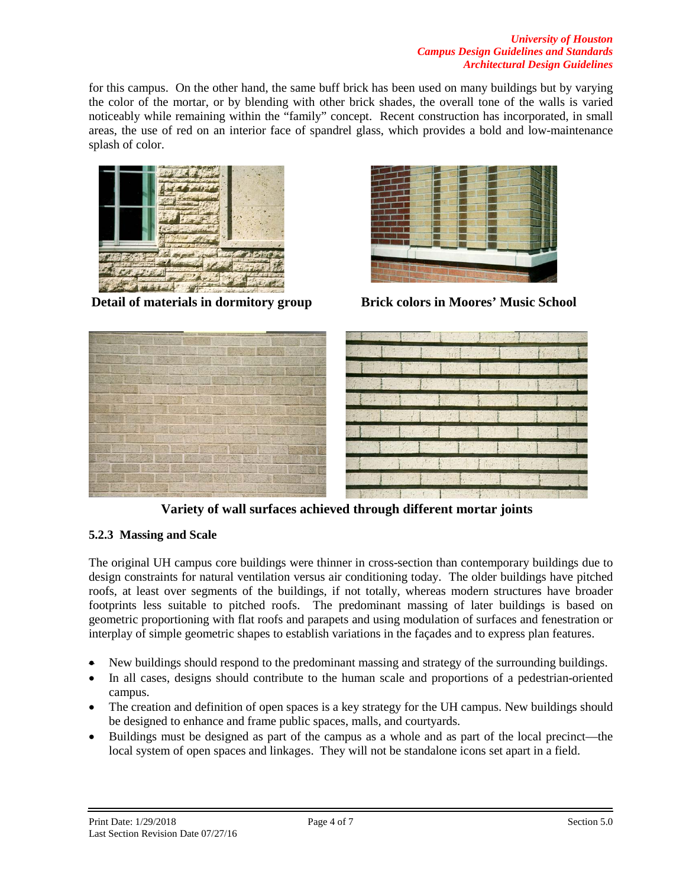#### *University of Houston Campus Design Guidelines and Standards Architectural Design Guidelines*

for this campus. On the other hand, the same buff brick has been used on many buildings but by varying the color of the mortar, or by blending with other brick shades, the overall tone of the walls is varied noticeably while remaining within the "family" concept. Recent construction has incorporated, in small areas, the use of red on an interior face of spandrel glass, which provides a bold and low-maintenance splash of color.



**Detail of materials in dormitory group Brick colors in Moores' Music School**



**Variety of wall surfaces achieved through different mortar joints** 

# **5.2.3 Massing and Scale**

The original UH campus core buildings were thinner in cross-section than contemporary buildings due to design constraints for natural ventilation versus air conditioning today. The older buildings have pitched roofs, at least over segments of the buildings, if not totally, whereas modern structures have broader footprints less suitable to pitched roofs. The predominant massing of later buildings is based on geometric proportioning with flat roofs and parapets and using modulation of surfaces and fenestration or interplay of simple geometric shapes to establish variations in the façades and to express plan features.

- New buildings should respond to the predominant massing and strategy of the surrounding buildings.
- In all cases, designs should contribute to the human scale and proportions of a pedestrian-oriented campus.
- The creation and definition of open spaces is a key strategy for the UH campus. New buildings should be designed to enhance and frame public spaces, malls, and courtyards.
- Buildings must be designed as part of the campus as a whole and as part of the local precinct—the local system of open spaces and linkages. They will not be standalone icons set apart in a field.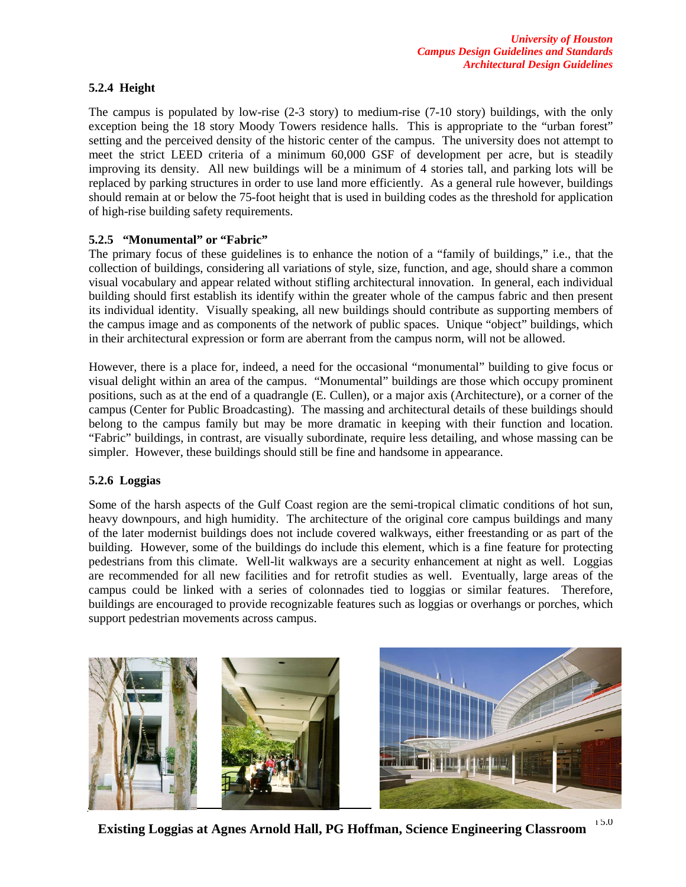#### **5.2.4 Height**

The campus is populated by low-rise (2-3 story) to medium-rise (7-10 story) buildings, with the only exception being the 18 story Moody Towers residence halls. This is appropriate to the "urban forest" setting and the perceived density of the historic center of the campus. The university does not attempt to meet the strict LEED criteria of a minimum 60,000 GSF of development per acre, but is steadily improving its density. All new buildings will be a minimum of 4 stories tall, and parking lots will be replaced by parking structures in order to use land more efficiently. As a general rule however, buildings should remain at or below the 75-foot height that is used in building codes as the threshold for application of high-rise building safety requirements.

### **5.2.5 "Monumental" or "Fabric"**

The primary focus of these guidelines is to enhance the notion of a "family of buildings," i.e., that the collection of buildings, considering all variations of style, size, function, and age, should share a common visual vocabulary and appear related without stifling architectural innovation. In general, each individual building should first establish its identify within the greater whole of the campus fabric and then present its individual identity. Visually speaking, all new buildings should contribute as supporting members of the campus image and as components of the network of public spaces. Unique "object" buildings, which in their architectural expression or form are aberrant from the campus norm, will not be allowed.

However, there is a place for, indeed, a need for the occasional "monumental" building to give focus or visual delight within an area of the campus. "Monumental" buildings are those which occupy prominent positions, such as at the end of a quadrangle (E. Cullen), or a major axis (Architecture), or a corner of the campus (Center for Public Broadcasting). The massing and architectural details of these buildings should belong to the campus family but may be more dramatic in keeping with their function and location. "Fabric" buildings, in contrast, are visually subordinate, require less detailing, and whose massing can be simpler. However, these buildings should still be fine and handsome in appearance.

## **5.2.6 Loggias**

Some of the harsh aspects of the Gulf Coast region are the semi-tropical climatic conditions of hot sun, heavy downpours, and high humidity. The architecture of the original core campus buildings and many of the later modernist buildings does not include covered walkways, either freestanding or as part of the building. However, some of the buildings do include this element, which is a fine feature for protecting pedestrians from this climate. Well-lit walkways are a security enhancement at night as well. Loggias are recommended for all new facilities and for retrofit studies as well. Eventually, large areas of the campus could be linked with a series of colonnades tied to loggias or similar features. Therefore, buildings are encouraged to provide recognizable features such as loggias or overhangs or porches, which support pedestrian movements across campus.



 $P_1: A \rightarrow I \rightarrow A$  of  $A$  and  $A$  of  $A$  of  $B$  and  $B$  of  $B$  of  $B$  of  $B$  of  $B$  of  $A$  section  $S$ . **Existing Loggias at Agnes Arnold Hall, PG Hoffman, Science Engineering Classroom**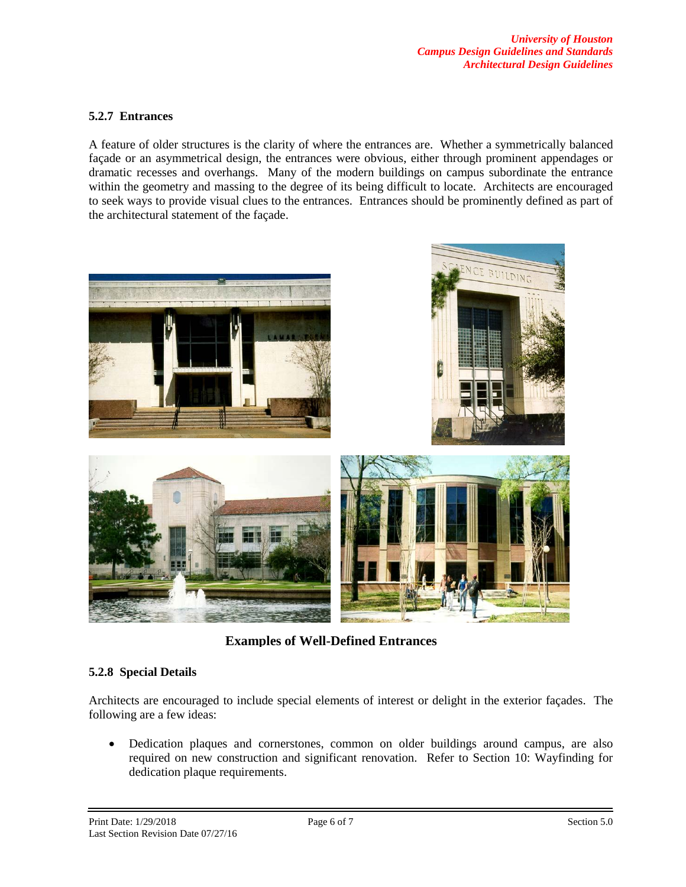#### **5.2.7 Entrances**

A feature of older structures is the clarity of where the entrances are. Whether a symmetrically balanced façade or an asymmetrical design, the entrances were obvious, either through prominent appendages or dramatic recesses and overhangs. Many of the modern buildings on campus subordinate the entrance within the geometry and massing to the degree of its being difficult to locate. Architects are encouraged to seek ways to provide visual clues to the entrances. Entrances should be prominently defined as part of the architectural statement of the façade.



**Examples of Well-Defined Entrances**

## **5.2.8 Special Details**

Architects are encouraged to include special elements of interest or delight in the exterior façades. The following are a few ideas:

• Dedication plaques and cornerstones, common on older buildings around campus, are also required on new construction and significant renovation. Refer to Section 10: Wayfinding for dedication plaque requirements.